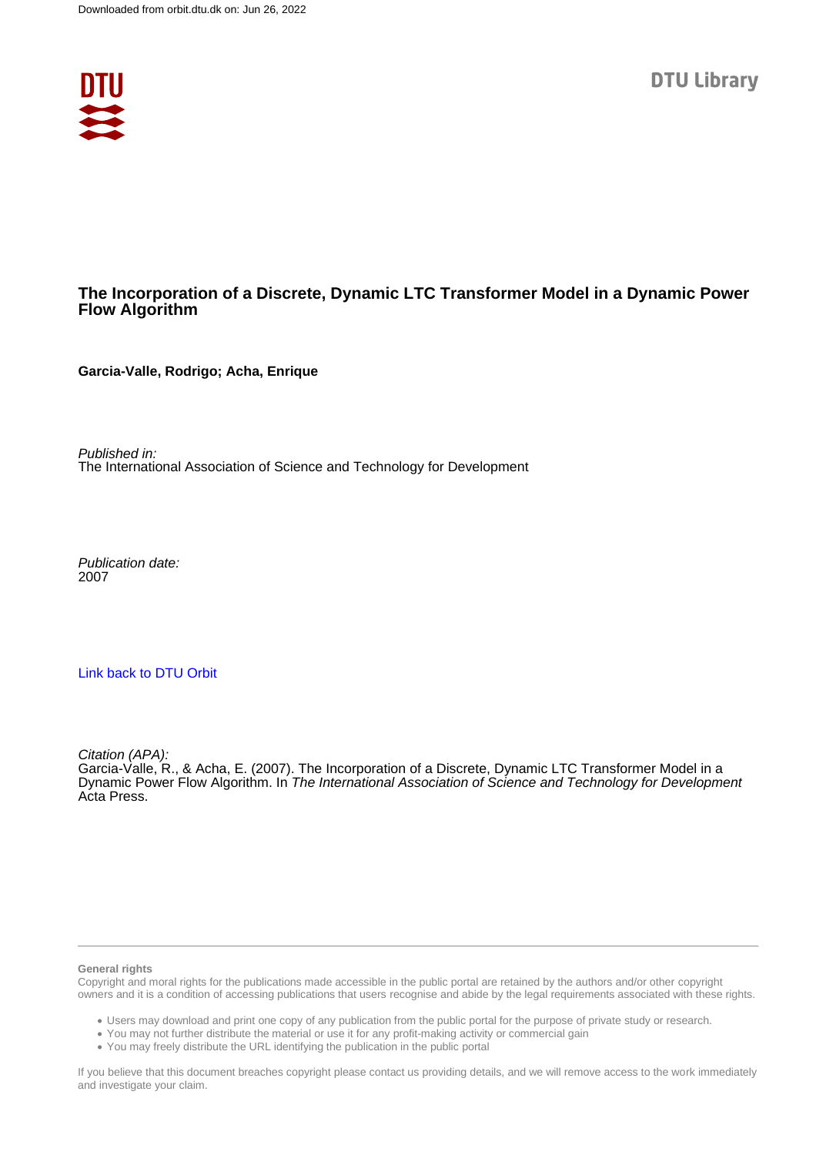

# **The Incorporation of a Discrete, Dynamic LTC Transformer Model in a Dynamic Power Flow Algorithm**

**Garcia-Valle, Rodrigo; Acha, Enrique**

Published in: The International Association of Science and Technology for Development

Publication date: 2007

# [Link back to DTU Orbit](https://orbit.dtu.dk/en/publications/a26781ac-b36e-4a97-9b1e-10d476e86ac9)

Citation (APA):

Garcia-Valle, R., & Acha, E. (2007). The Incorporation of a Discrete, Dynamic LTC Transformer Model in a Dynamic Power Flow Algorithm. In The International Association of Science and Technology for Development Acta Press.

#### **General rights**

Copyright and moral rights for the publications made accessible in the public portal are retained by the authors and/or other copyright owners and it is a condition of accessing publications that users recognise and abide by the legal requirements associated with these rights.

Users may download and print one copy of any publication from the public portal for the purpose of private study or research.

- You may not further distribute the material or use it for any profit-making activity or commercial gain
- You may freely distribute the URL identifying the publication in the public portal

If you believe that this document breaches copyright please contact us providing details, and we will remove access to the work immediately and investigate your claim.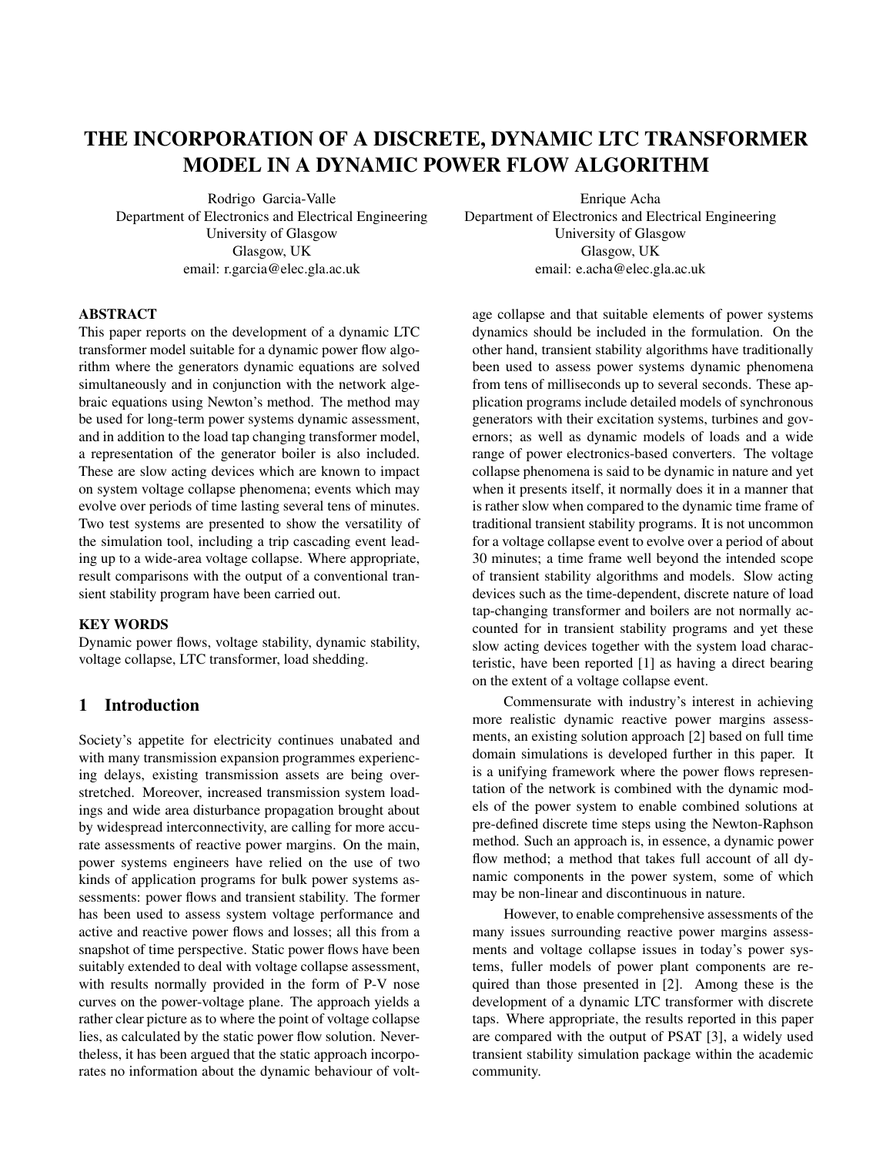# THE INCORPORATION OF A DISCRETE, DYNAMIC LTC TRANSFORMER MODEL IN A DYNAMIC POWER FLOW ALGORITHM

Rodrigo Garcia-Valle Department of Electronics and Electrical Engineering University of Glasgow Glasgow, UK email: r.garcia@elec.gla.ac.uk

Enrique Acha

Department of Electronics and Electrical Engineering University of Glasgow Glasgow, UK email: e.acha@elec.gla.ac.uk

#### ABSTRACT

This paper reports on the development of a dynamic LTC transformer model suitable for a dynamic power flow algorithm where the generators dynamic equations are solved simultaneously and in conjunction with the network algebraic equations using Newton's method. The method may be used for long-term power systems dynamic assessment, and in addition to the load tap changing transformer model, a representation of the generator boiler is also included. These are slow acting devices which are known to impact on system voltage collapse phenomena; events which may evolve over periods of time lasting several tens of minutes. Two test systems are presented to show the versatility of the simulation tool, including a trip cascading event leading up to a wide-area voltage collapse. Where appropriate, result comparisons with the output of a conventional transient stability program have been carried out.

## KEY WORDS

Dynamic power flows, voltage stability, dynamic stability, voltage collapse, LTC transformer, load shedding.

# 1 Introduction

Society's appetite for electricity continues unabated and with many transmission expansion programmes experiencing delays, existing transmission assets are being overstretched. Moreover, increased transmission system loadings and wide area disturbance propagation brought about by widespread interconnectivity, are calling for more accurate assessments of reactive power margins. On the main, power systems engineers have relied on the use of two kinds of application programs for bulk power systems assessments: power flows and transient stability. The former has been used to assess system voltage performance and active and reactive power flows and losses; all this from a snapshot of time perspective. Static power flows have been suitably extended to deal with voltage collapse assessment, with results normally provided in the form of P-V nose curves on the power-voltage plane. The approach yields a rather clear picture as to where the point of voltage collapse lies, as calculated by the static power flow solution. Nevertheless, it has been argued that the static approach incorporates no information about the dynamic behaviour of volt-

age collapse and that suitable elements of power systems dynamics should be included in the formulation. On the other hand, transient stability algorithms have traditionally been used to assess power systems dynamic phenomena from tens of milliseconds up to several seconds. These application programs include detailed models of synchronous generators with their excitation systems, turbines and governors; as well as dynamic models of loads and a wide range of power electronics-based converters. The voltage collapse phenomena is said to be dynamic in nature and yet when it presents itself, it normally does it in a manner that is rather slow when compared to the dynamic time frame of traditional transient stability programs. It is not uncommon for a voltage collapse event to evolve over a period of about 30 minutes; a time frame well beyond the intended scope of transient stability algorithms and models. Slow acting devices such as the time-dependent, discrete nature of load tap-changing transformer and boilers are not normally accounted for in transient stability programs and yet these slow acting devices together with the system load characteristic, have been reported [1] as having a direct bearing on the extent of a voltage collapse event.

Commensurate with industry's interest in achieving more realistic dynamic reactive power margins assessments, an existing solution approach [2] based on full time domain simulations is developed further in this paper. It is a unifying framework where the power flows representation of the network is combined with the dynamic models of the power system to enable combined solutions at pre-defined discrete time steps using the Newton-Raphson method. Such an approach is, in essence, a dynamic power flow method; a method that takes full account of all dynamic components in the power system, some of which may be non-linear and discontinuous in nature.

However, to enable comprehensive assessments of the many issues surrounding reactive power margins assessments and voltage collapse issues in today's power systems, fuller models of power plant components are required than those presented in [2]. Among these is the development of a dynamic LTC transformer with discrete taps. Where appropriate, the results reported in this paper are compared with the output of PSAT [3], a widely used transient stability simulation package within the academic community.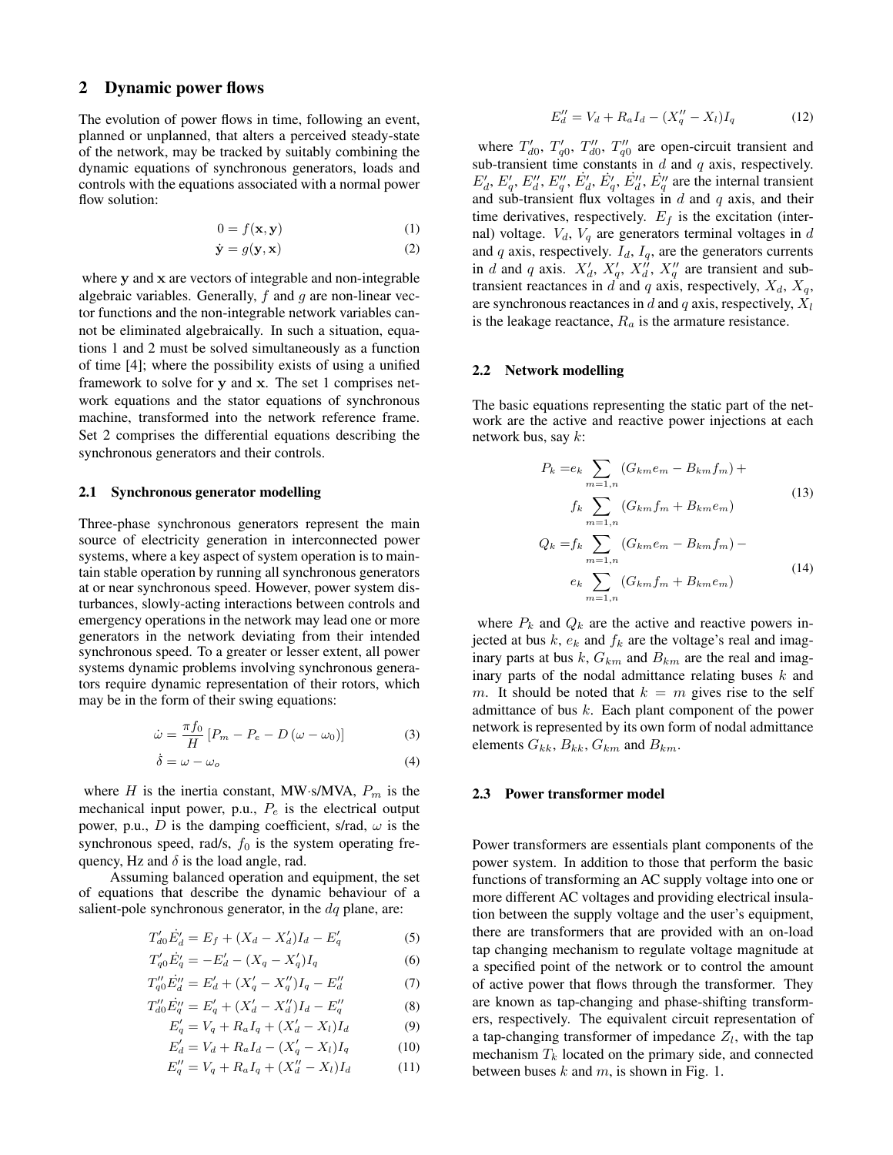## 2 Dynamic power flows

The evolution of power flows in time, following an event, planned or unplanned, that alters a perceived steady-state of the network, may be tracked by suitably combining the dynamic equations of synchronous generators, loads and controls with the equations associated with a normal power flow solution:

$$
0 = f(\mathbf{x}, \mathbf{y}) \tag{1}
$$

$$
\dot{\mathbf{y}} = g(\mathbf{y}, \mathbf{x}) \tag{2}
$$

where y and x are vectors of integrable and non-integrable algebraic variables. Generally,  $f$  and  $g$  are non-linear vector functions and the non-integrable network variables cannot be eliminated algebraically. In such a situation, equations 1 and 2 must be solved simultaneously as a function of time [4]; where the possibility exists of using a unified framework to solve for y and x. The set 1 comprises network equations and the stator equations of synchronous machine, transformed into the network reference frame. Set 2 comprises the differential equations describing the synchronous generators and their controls.

#### 2.1 Synchronous generator modelling

Three-phase synchronous generators represent the main source of electricity generation in interconnected power systems, where a key aspect of system operation is to maintain stable operation by running all synchronous generators at or near synchronous speed. However, power system disturbances, slowly-acting interactions between controls and emergency operations in the network may lead one or more generators in the network deviating from their intended synchronous speed. To a greater or lesser extent, all power systems dynamic problems involving synchronous generators require dynamic representation of their rotors, which may be in the form of their swing equations:

$$
\dot{\omega} = \frac{\pi f_0}{H} \left[ P_m - P_e - D \left( \omega - \omega_0 \right) \right] \tag{3}
$$

$$
\dot{\delta} = \omega - \omega_o \tag{4}
$$

where H is the inertia constant, MW·s/MVA,  $P_m$  is the mechanical input power, p.u.,  $P_e$  is the electrical output power, p.u., D is the damping coefficient, s/rad,  $\omega$  is the synchronous speed, rad/s,  $f_0$  is the system operating frequency, Hz and  $\delta$  is the load angle, rad.

Assuming balanced operation and equipment, the set of equations that describe the dynamic behaviour of a salient-pole synchronous generator, in the  $dq$  plane, are:

$$
T'_{d0}\dot{E}'_d = E_f + (X_d - X'_d)I_d - E'_q \tag{5}
$$

$$
T'_{q0}\dot{E}'_q = -E'_d - (X_q - X'_q)I_q \tag{6}
$$

$$
T''_{q0}\dot{E}''_d = E'_d + (X'_q - X''_q)I_q - E''_d \tag{7}
$$

$$
T''_{d0}E''_q = E'_q + (X'_d - X''_d)I_d - E''_q
$$
\n(8)

$$
E'_{q} = V_{q} + R_{a}I_{q} + (X'_{d} - X_{l})I_{d}
$$
\n
$$
E'_{d} = V_{d} + R_{a}I_{d} - (X'_{q} - X_{l})I_{q}
$$
\n(9)

$$
E_q'' = V_q + R_a I_q + (X_d'' - X_l) I_d
$$
 (10)  

$$
E_q'' = V_q + R_a I_q + (X_d'' - X_l) I_d
$$
 (11)

$$
E''_d = V_d + R_a I_d - (X''_q - X_l)I_q \tag{12}
$$

where  $T'_{d0}$ ,  $T'_{q0}$ ,  $T''_{d0}$ ,  $T''_{q0}$  are open-circuit transient and sub-transient time constants in  $d$  and  $q$  axis, respectively.  $E'_d$ ,  $E'_q$ ,  $E''_d$ ,  $E''_q$ ,  $E'_q$ ,  $E''_q$ ,  $E'''_d$  are the internal transient and sub-transient flux voltages in  $d$  and  $q$  axis, and their time derivatives, respectively.  $E_f$  is the excitation (internal) voltage.  $V_d$ ,  $V_q$  are generators terminal voltages in d and  $q$  axis, respectively.  $I_d$ ,  $I_q$ , are the generators currents in d and q axis.  $X'_d$ ,  $X'_q$ ,  $X''_d$ ,  $X''_q$  are transient and subtransient reactances in  $d$  and  $q$  axis, respectively,  $X_d$ ,  $X_q$ , are synchronous reactances in d and q axis, respectively,  $X_l$ is the leakage reactance,  $R_a$  is the armature resistance.

#### 2.2 Network modelling

The basic equations representing the static part of the network are the active and reactive power injections at each network bus, say  $k$ :

$$
P_k = e_k \sum_{m=1,n} (G_{km}e_m - B_{km}f_m) +
$$
  
\n
$$
f_k \sum_{m=1,n} (G_{km}f_m + B_{km}e_m)
$$
  
\n
$$
Q_k = f_k \sum_{m=1,n} (G_{km}e_m - B_{km}f_m) -
$$
  
\n
$$
e_k \sum_{m=1,n} (G_{km}f_m + B_{km}e_m)
$$
\n(14)

where  $P_k$  and  $Q_k$  are the active and reactive powers injected at bus  $k$ ,  $e_k$  and  $f_k$  are the voltage's real and imaginary parts at bus  $k$ ,  $G_{km}$  and  $B_{km}$  are the real and imaginary parts of the nodal admittance relating buses  $k$  and m. It should be noted that  $k = m$  gives rise to the self admittance of bus  $k$ . Each plant component of the power network is represented by its own form of nodal admittance elements  $G_{kk}$ ,  $B_{kk}$ ,  $G_{km}$  and  $B_{km}$ .

 $m=1,n$ 

#### 2.3 Power transformer model

Power transformers are essentials plant components of the power system. In addition to those that perform the basic functions of transforming an AC supply voltage into one or more different AC voltages and providing electrical insulation between the supply voltage and the user's equipment, there are transformers that are provided with an on-load tap changing mechanism to regulate voltage magnitude at a specified point of the network or to control the amount of active power that flows through the transformer. They are known as tap-changing and phase-shifting transformers, respectively. The equivalent circuit representation of a tap-changing transformer of impedance  $Z_l$ , with the tap mechanism  $T_k$  located on the primary side, and connected between buses k and  $m$ , is shown in Fig. 1.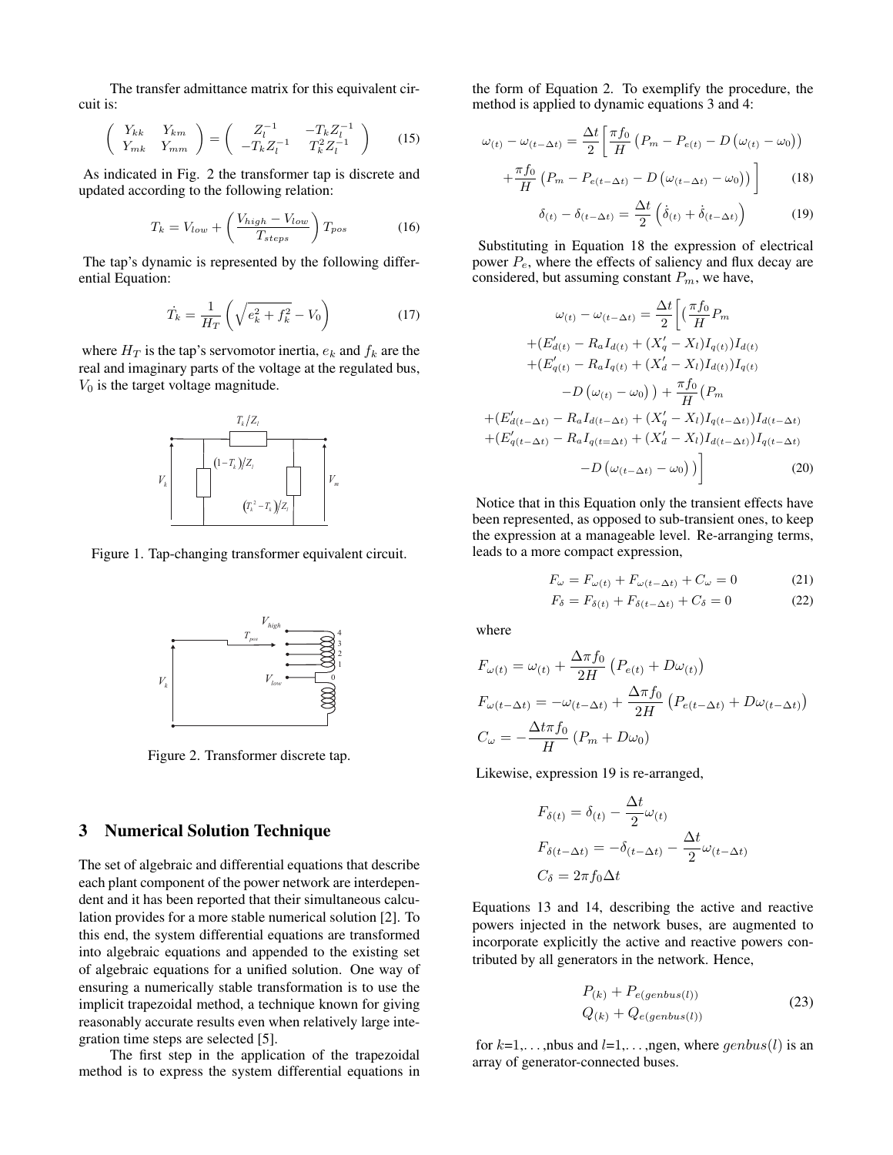The transfer admittance matrix for this equivalent circuit is:

$$
\begin{pmatrix}\nY_{kk} & Y_{km} \\
Y_{mk} & Y_{mm}\n\end{pmatrix} = \begin{pmatrix}\nZ_l^{-1} & -T_k Z_l^{-1} \\
-T_k Z_l^{-1} & T_k^2 Z_l^{-1}\n\end{pmatrix}
$$
\n(15)

As indicated in Fig. 2 the transformer tap is discrete and updated according to the following relation:

$$
T_k = V_{low} + \left(\frac{V_{high} - V_{low}}{T_{steps}}\right) T_{pos}
$$
 (16)

The tap's dynamic is represented by the following differential Equation:

$$
\dot{T}_k = \frac{1}{H_T} \left( \sqrt{e_k^2 + f_k^2} - V_0 \right) \tag{17}
$$

where  $H_T$  is the tap's servomotor inertia,  $e_k$  and  $f_k$  are the real and imaginary parts of the voltage at the regulated bus,  $V_0$  is the target voltage magnitude.



Figure 1. Tap-changing transformer equivalent circuit.



Figure 2. Transformer discrete tap.

## 3 Numerical Solution Technique

The set of algebraic and differential equations that describe each plant component of the power network are interdependent and it has been reported that their simultaneous calculation provides for a more stable numerical solution [2]. To this end, the system differential equations are transformed into algebraic equations and appended to the existing set of algebraic equations for a unified solution. One way of ensuring a numerically stable transformation is to use the implicit trapezoidal method, a technique known for giving reasonably accurate results even when relatively large integration time steps are selected [5].

The first step in the application of the trapezoidal method is to express the system differential equations in the form of Equation 2. To exemplify the procedure, the method is applied to dynamic equations 3 and 4:

$$
\omega_{(t)} - \omega_{(t-\Delta t)} = \frac{\Delta t}{2} \left[ \frac{\pi f_0}{H} \left( P_m - P_{e(t)} - D \left( \omega_{(t)} - \omega_0 \right) \right) + \frac{\pi f_0}{H} \left( P_m - P_{e(t-\Delta t)} - D \left( \omega_{(t-\Delta t)} - \omega_0 \right) \right) \right]
$$
(18)

$$
\delta_{(t)} - \delta_{(t-\Delta t)} = \frac{\Delta t}{2} \left( \dot{\delta}_{(t)} + \dot{\delta}_{(t-\Delta t)} \right)
$$
(19)

Substituting in Equation 18 the expression of electrical power  $P_e$ , where the effects of saliency and flux decay are considered, but assuming constant  $P_m$ , we have,

$$
\omega_{(t)} - \omega_{(t-\Delta t)} = \frac{\Delta t}{2} \left[ \left( \frac{\pi f_0}{H} P_m + (E'_{d(t)} - R_a I_{d(t)} + (X'_q - X_l) I_{q(t)}) I_{d(t)} \right) + (E'_{q(t)} - R_a I_{q(t)} + (X'_d - X_l) I_{d(t)}) I_{q(t)} - D \left( \omega_{(t)} - \omega_0 \right) \right] + \frac{\pi f_0}{H} (P_m + (E'_{d(t-\Delta t)} - R_a I_{d(t-\Delta t)} + (X'_q - X_l) I_{q(t-\Delta t)}) I_{d(t-\Delta t)} + (E'_{q(t-\Delta t)} - R_a I_{q(t=\Delta t)} + (X'_d - X_l) I_{d(t-\Delta t)}) I_{q(t-\Delta t)} - D \left( \omega_{(t-\Delta t)} - \omega_0 \right) \right)
$$
(20)

Notice that in this Equation only the transient effects have been represented, as opposed to sub-transient ones, to keep the expression at a manageable level. Re-arranging terms, leads to a more compact expression,

$$
F_{\omega} = F_{\omega(t)} + F_{\omega(t - \Delta t)} + C_{\omega} = 0 \tag{21}
$$

$$
F_{\delta} = F_{\delta(t)} + F_{\delta(t - \Delta t)} + C_{\delta} = 0 \tag{22}
$$

where

$$
F_{\omega(t)} = \omega_{(t)} + \frac{\Delta \pi f_0}{2H} \left( P_{e(t)} + D \omega_{(t)} \right)
$$
  
\n
$$
F_{\omega(t-\Delta t)} = -\omega_{(t-\Delta t)} + \frac{\Delta \pi f_0}{2H} \left( P_{e(t-\Delta t)} + D \omega_{(t-\Delta t)} \right)
$$
  
\n
$$
C_{\omega} = -\frac{\Delta t \pi f_0}{H} \left( P_m + D \omega_0 \right)
$$

Likewise, expression 19 is re-arranged,

$$
F_{\delta(t)} = \delta_{(t)} - \frac{\Delta t}{2} \omega_{(t)}
$$

$$
F_{\delta(t-\Delta t)} = -\delta_{(t-\Delta t)} - \frac{\Delta t}{2} \omega_{(t-\Delta t)}
$$

$$
C_{\delta} = 2\pi f_0 \Delta t
$$

Equations 13 and 14, describing the active and reactive powers injected in the network buses, are augmented to incorporate explicitly the active and reactive powers contributed by all generators in the network. Hence,

$$
P_{(k)} + P_{e(genbus(l))}
$$
  
 
$$
Q_{(k)} + Q_{e(genbus(l))}
$$
 (23)

for  $k=1,\ldots$ , nbus and  $l=1,\ldots$ , ngen, where  $genbus(l)$  is an array of generator-connected buses.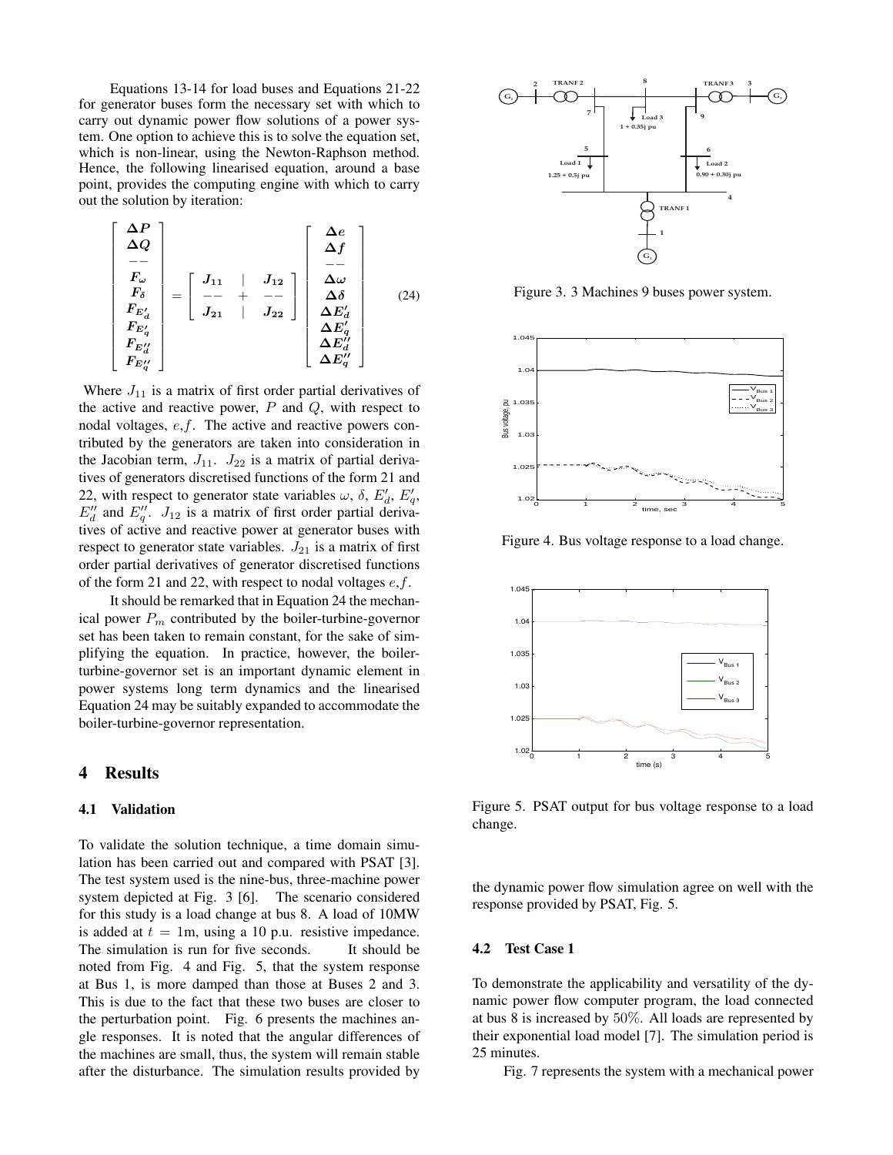Equations 13-14 for load buses and Equations 21-22 for generator buses form the necessary set with which to carry out dynamic power flow solutions of a power system. One option to achieve this is to solve the equation set, which is non-linear, using the Newton-Raphson method. Hence, the following linearised equation, around a base point, provides the computing engine with which to carry out the solution by iteration:

$$
\begin{bmatrix}\n\Delta P \\
\Delta Q \\
\hline\nF_{\omega} \\
F_{\delta} \\
F_{E'_{d}} \\
F_{E''_{d}} \\
F_{E''_{d}} \\
F_{E''_{d}}\n\end{bmatrix} = \begin{bmatrix}\nJ_{11} & | & J_{12} \\
\hline\n- & + & - - \\
J_{21} & | & J_{22}\n\end{bmatrix} \begin{bmatrix}\n\Delta e \\
\Delta f \\
\hline\n-\end{bmatrix} \quad \Delta \omega \\
\Delta \delta \\
\Delta E'_{d} \\
\Delta E'_{d} \\
\Delta E''_{d} \\
\Delta E''_{d}\n\end{bmatrix} \quad (24)
$$

Where  $J_{11}$  is a matrix of first order partial derivatives of the active and reactive power,  $P$  and  $Q$ , with respect to nodal voltages, e,f. The active and reactive powers contributed by the generators are taken into consideration in the Jacobian term,  $J_{11}$ .  $J_{22}$  is a matrix of partial derivatives of generators discretised functions of the form 21 and 22, with respect to generator state variables  $\omega$ ,  $\delta$ ,  $E'_d$ ,  $E'_q$ ,  $E''_d$  and  $E''_q$ .  $J_{12}$  is a matrix of first order partial derivatives of active and reactive power at generator buses with respect to generator state variables.  $J_{21}$  is a matrix of first order partial derivatives of generator discretised functions of the form 21 and 22, with respect to nodal voltages  $e, f$ .

It should be remarked that in Equation 24 the mechanical power  $P_m$  contributed by the boiler-turbine-governor set has been taken to remain constant, for the sake of simplifying the equation. In practice, however, the boilerturbine-governor set is an important dynamic element in power systems long term dynamics and the linearised Equation 24 may be suitably expanded to accommodate the boiler-turbine-governor representation.

## 4 Results

#### 4.1 Validation

To validate the solution technique, a time domain simulation has been carried out and compared with PSAT [3]. The test system used is the nine-bus, three-machine power system depicted at Fig. 3 [6]. The scenario considered for this study is a load change at bus 8. A load of 10MW is added at  $t = 1$ m, using a 10 p.u. resistive impedance. The simulation is run for five seconds. It should be noted from Fig. 4 and Fig. 5, that the system response at Bus 1, is more damped than those at Buses 2 and 3. This is due to the fact that these two buses are closer to the perturbation point. Fig. 6 presents the machines angle responses. It is noted that the angular differences of the machines are small, thus, the system will remain stable after the disturbance. The simulation results provided by



Figure 3. 3 Machines 9 buses power system.



Figure 4. Bus voltage response to a load change.



Figure 5. PSAT output for bus voltage response to a load change.

the dynamic power flow simulation agree on well with the response provided by PSAT, Fig. 5.

#### 4.2 Test Case 1

To demonstrate the applicability and versatility of the dynamic power flow computer program, the load connected at bus 8 is increased by 50%. All loads are represented by their exponential load model [7]. The simulation period is 25 minutes.

Fig. 7 represents the system with a mechanical power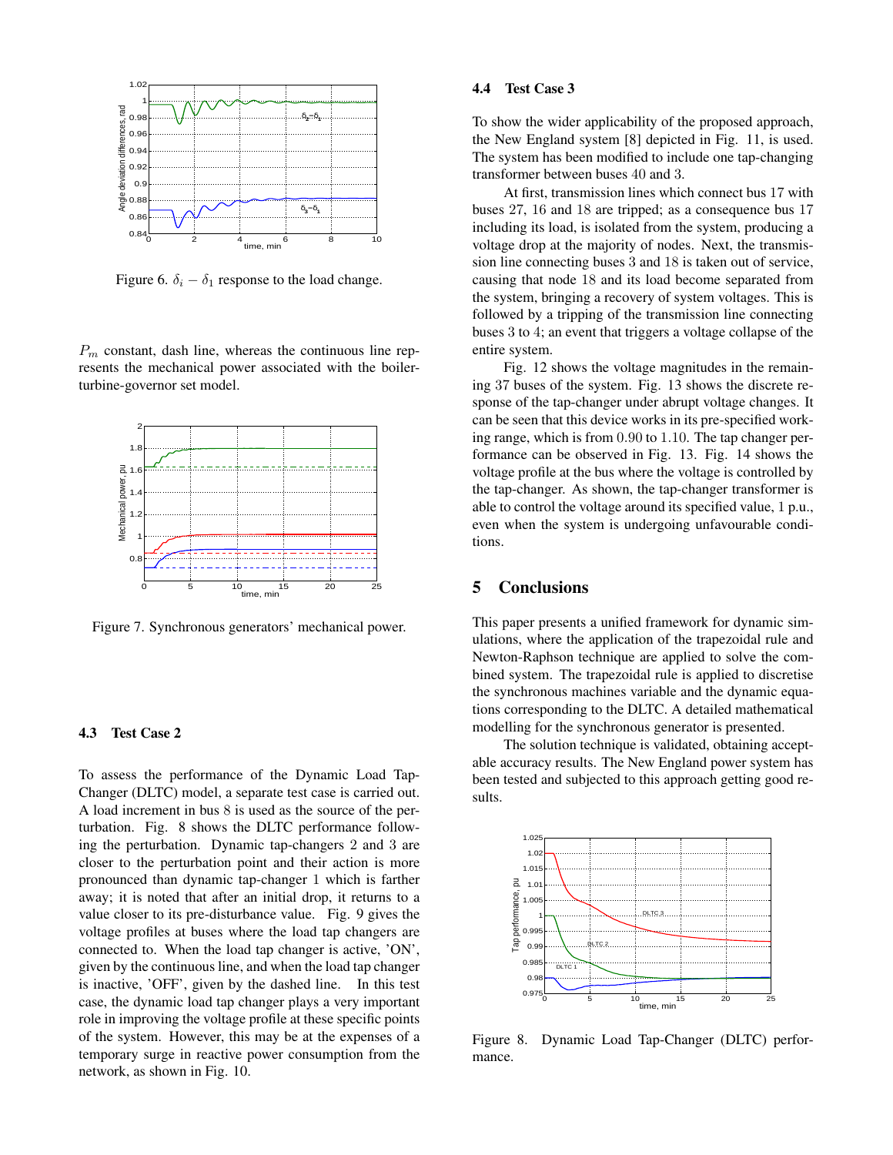

Figure 6.  $\delta_i - \delta_1$  response to the load change.

 $P_m$  constant, dash line, whereas the continuous line represents the mechanical power associated with the boilerturbine-governor set model.



Figure 7. Synchronous generators' mechanical power.

#### 4.3 Test Case 2

To assess the performance of the Dynamic Load Tap-Changer (DLTC) model, a separate test case is carried out. A load increment in bus 8 is used as the source of the perturbation. Fig. 8 shows the DLTC performance following the perturbation. Dynamic tap-changers 2 and 3 are closer to the perturbation point and their action is more pronounced than dynamic tap-changer 1 which is farther away; it is noted that after an initial drop, it returns to a value closer to its pre-disturbance value. Fig. 9 gives the voltage profiles at buses where the load tap changers are connected to. When the load tap changer is active, 'ON', given by the continuous line, and when the load tap changer is inactive, 'OFF', given by the dashed line. In this test case, the dynamic load tap changer plays a very important role in improving the voltage profile at these specific points of the system. However, this may be at the expenses of a temporary surge in reactive power consumption from the network, as shown in Fig. 10.

#### 4.4 Test Case 3

To show the wider applicability of the proposed approach, the New England system [8] depicted in Fig. 11, is used. The system has been modified to include one tap-changing transformer between buses 40 and 3.

At first, transmission lines which connect bus 17 with buses 27, 16 and 18 are tripped; as a consequence bus 17 including its load, is isolated from the system, producing a voltage drop at the majority of nodes. Next, the transmission line connecting buses 3 and 18 is taken out of service, causing that node 18 and its load become separated from the system, bringing a recovery of system voltages. This is followed by a tripping of the transmission line connecting buses 3 to 4; an event that triggers a voltage collapse of the entire system.

Fig. 12 shows the voltage magnitudes in the remaining 37 buses of the system. Fig. 13 shows the discrete response of the tap-changer under abrupt voltage changes. It can be seen that this device works in its pre-specified working range, which is from 0.90 to 1.10. The tap changer performance can be observed in Fig. 13. Fig. 14 shows the voltage profile at the bus where the voltage is controlled by the tap-changer. As shown, the tap-changer transformer is able to control the voltage around its specified value, 1 p.u., even when the system is undergoing unfavourable conditions.

# 5 Conclusions

This paper presents a unified framework for dynamic simulations, where the application of the trapezoidal rule and Newton-Raphson technique are applied to solve the combined system. The trapezoidal rule is applied to discretise the synchronous machines variable and the dynamic equations corresponding to the DLTC. A detailed mathematical modelling for the synchronous generator is presented.

The solution technique is validated, obtaining acceptable accuracy results. The New England power system has been tested and subjected to this approach getting good results.



Figure 8. Dynamic Load Tap-Changer (DLTC) performance.